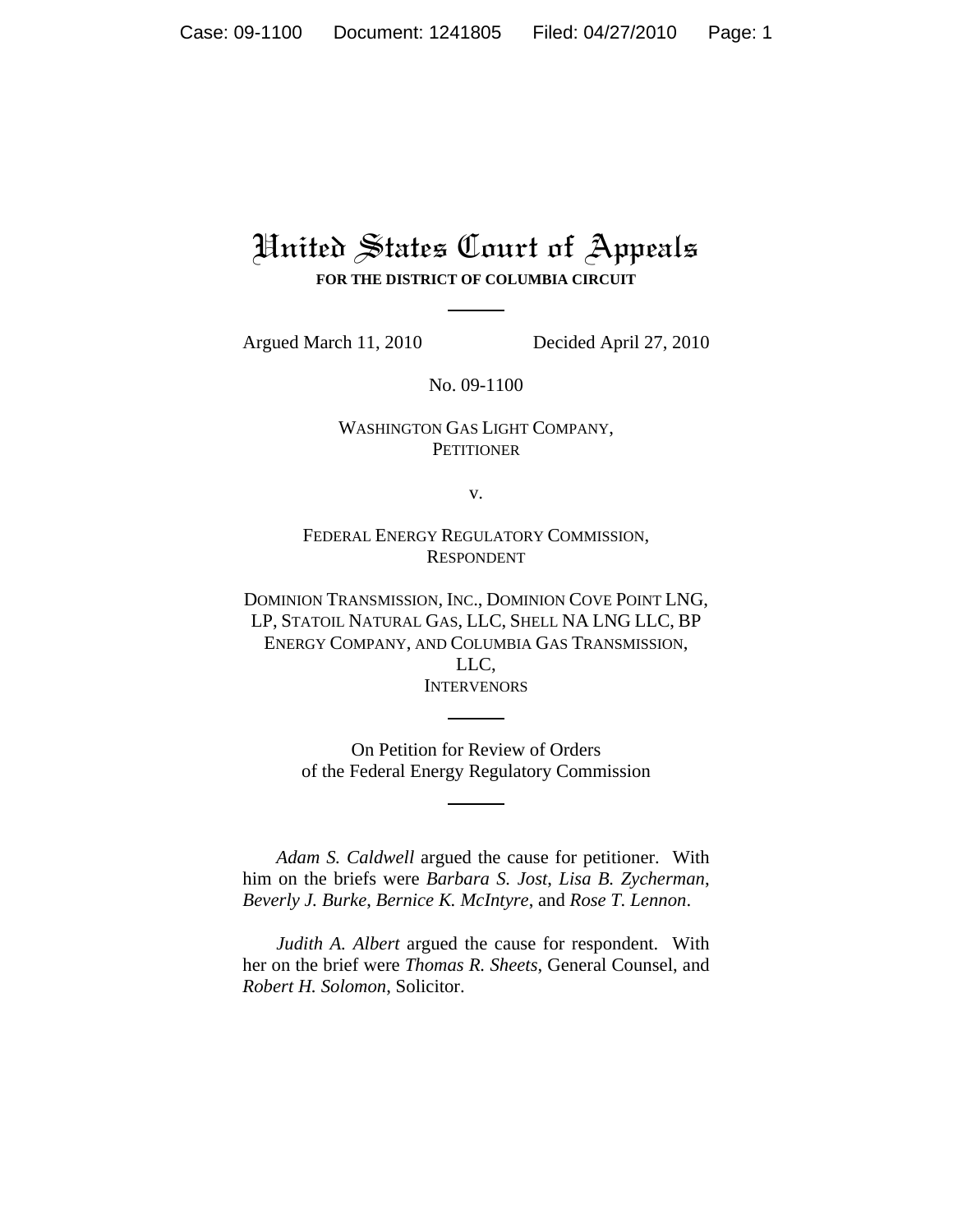## United States Court of Appeals **FOR THE DISTRICT OF COLUMBIA CIRCUIT**

Argued March 11, 2010 Decided April 27, 2010

No. 09-1100

## WASHINGTON GAS LIGHT COMPANY, **PETITIONER**

v.

FEDERAL ENERGY REGULATORY COMMISSION, RESPONDENT

DOMINION TRANSMISSION, INC., DOMINION COVE POINT LNG, LP, STATOIL NATURAL GAS, LLC, SHELL NA LNG LLC, BP ENERGY COMPANY, AND COLUMBIA GAS TRANSMISSION, LLC, **INTERVENORS** 

> On Petition for Review of Orders of the Federal Energy Regulatory Commission

*Adam S. Caldwell* argued the cause for petitioner. With him on the briefs were *Barbara S. Jost*, *Lisa B. Zycherman*, *Beverly J. Burke*, *Bernice K. McIntyre*, and *Rose T. Lennon*.

*Judith A. Albert* argued the cause for respondent. With her on the brief were *Thomas R. Sheets*, General Counsel, and *Robert H. Solomon*, Solicitor.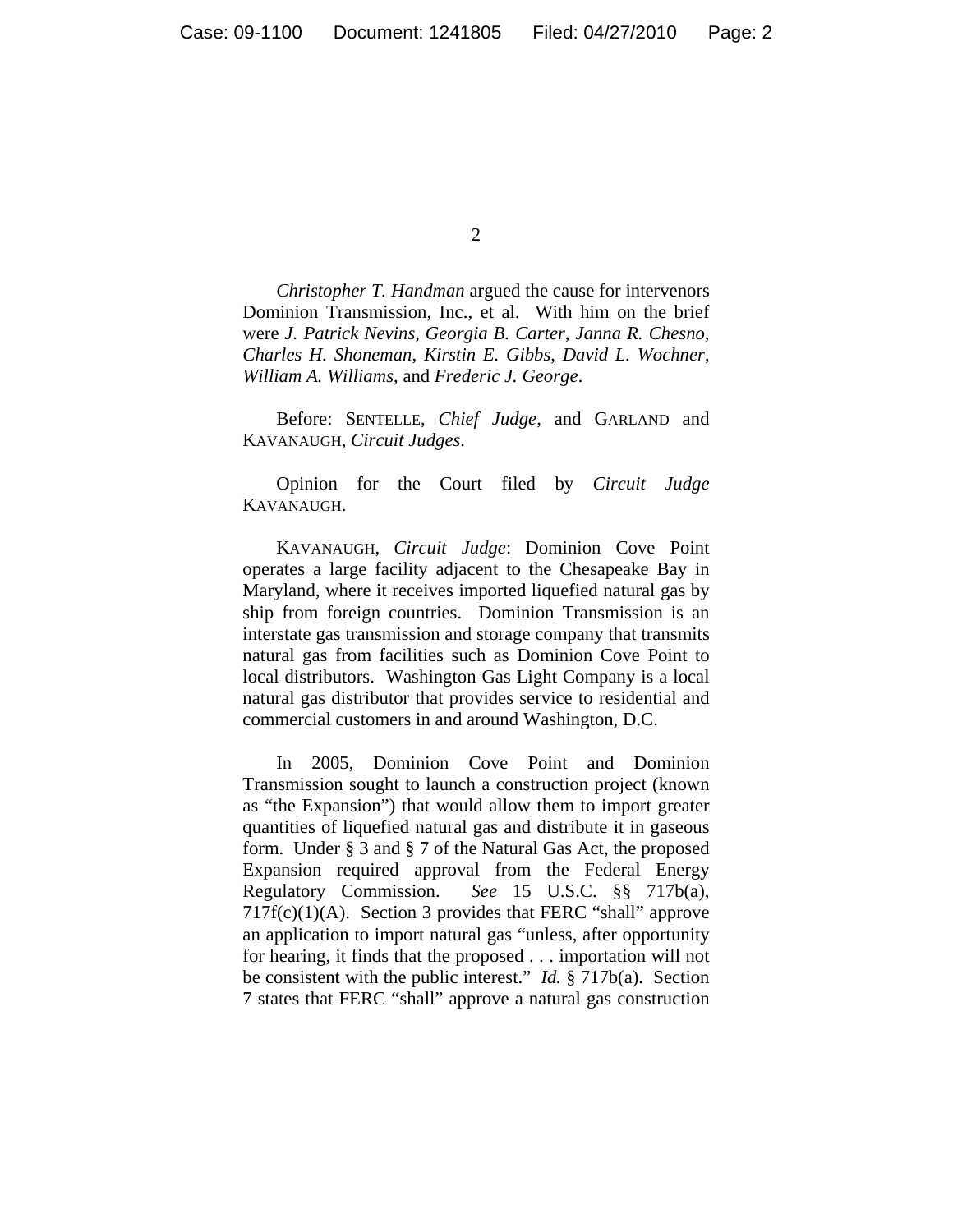2

*Christopher T. Handman* argued the cause for intervenors Dominion Transmission, Inc., et al. With him on the brief were *J. Patrick Nevins*, *Georgia B. Carter*, *Janna R. Chesno*, *Charles H. Shoneman*, *Kirstin E. Gibbs*, *David L. Wochner*, *William A. Williams*, and *Frederic J. George*.

Before: SENTELLE, *Chief Judge*, and GARLAND and KAVANAUGH, *Circuit Judges*.

Opinion for the Court filed by *Circuit Judge* KAVANAUGH.

KAVANAUGH, *Circuit Judge*: Dominion Cove Point operates a large facility adjacent to the Chesapeake Bay in Maryland, where it receives imported liquefied natural gas by ship from foreign countries. Dominion Transmission is an interstate gas transmission and storage company that transmits natural gas from facilities such as Dominion Cove Point to local distributors. Washington Gas Light Company is a local natural gas distributor that provides service to residential and commercial customers in and around Washington, D.C.

In 2005, Dominion Cove Point and Dominion Transmission sought to launch a construction project (known as "the Expansion") that would allow them to import greater quantities of liquefied natural gas and distribute it in gaseous form. Under § 3 and § 7 of the Natural Gas Act, the proposed Expansion required approval from the Federal Energy Regulatory Commission. *See* 15 U.S.C. §§ 717b(a),  $717f(c)(1)(A)$ . Section 3 provides that FERC "shall" approve an application to import natural gas "unless, after opportunity for hearing, it finds that the proposed . . . importation will not be consistent with the public interest." *Id.* § 717b(a). Section 7 states that FERC "shall" approve a natural gas construction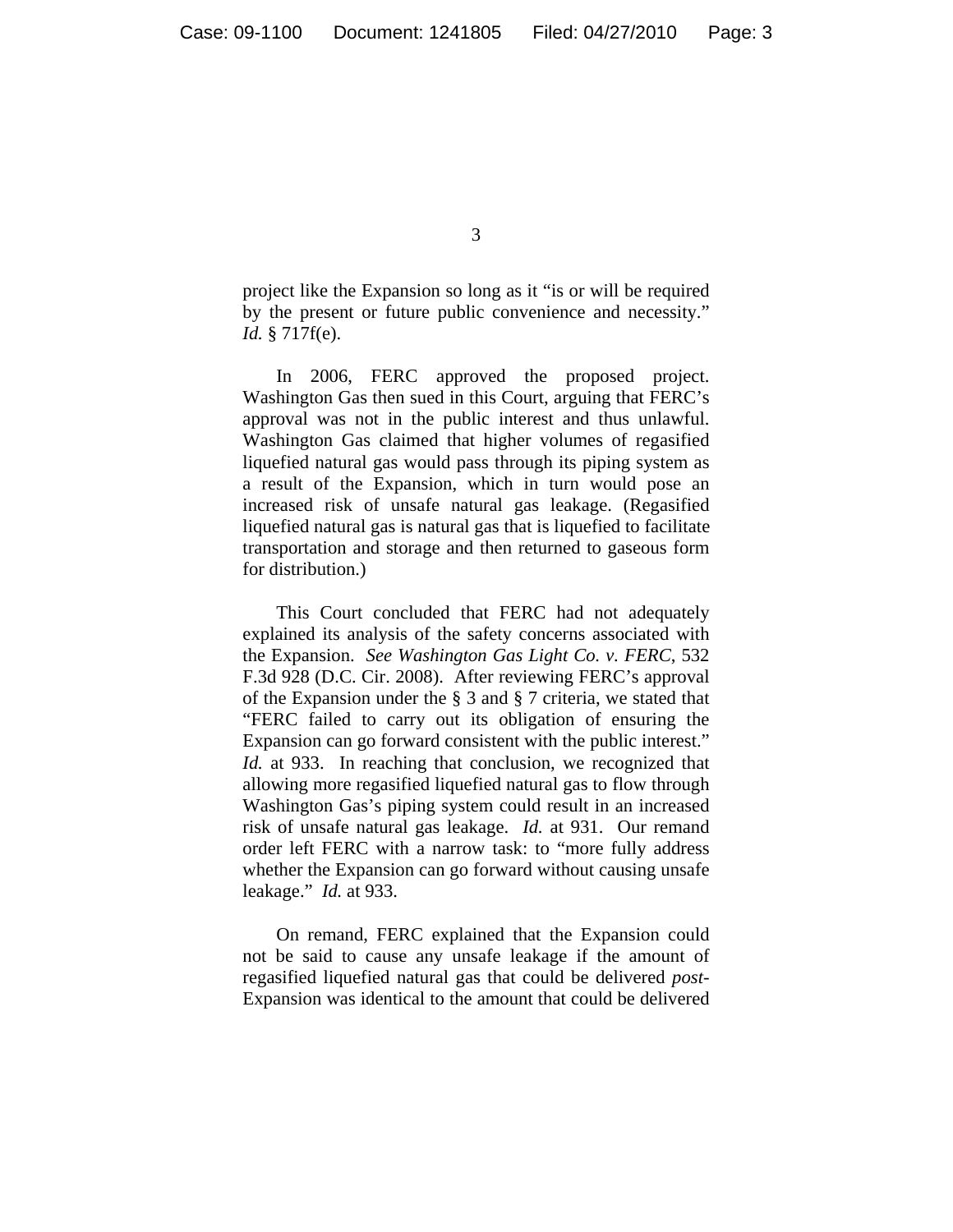3

project like the Expansion so long as it "is or will be required by the present or future public convenience and necessity." *Id.* § 717f(e).

In 2006, FERC approved the proposed project. Washington Gas then sued in this Court, arguing that FERC's approval was not in the public interest and thus unlawful. Washington Gas claimed that higher volumes of regasified liquefied natural gas would pass through its piping system as a result of the Expansion, which in turn would pose an increased risk of unsafe natural gas leakage. (Regasified liquefied natural gas is natural gas that is liquefied to facilitate transportation and storage and then returned to gaseous form for distribution.)

This Court concluded that FERC had not adequately explained its analysis of the safety concerns associated with the Expansion. *See Washington Gas Light Co. v. FERC*, 532 F.3d 928 (D.C. Cir. 2008). After reviewing FERC's approval of the Expansion under the § 3 and § 7 criteria, we stated that "FERC failed to carry out its obligation of ensuring the Expansion can go forward consistent with the public interest." *Id.* at 933. In reaching that conclusion, we recognized that allowing more regasified liquefied natural gas to flow through Washington Gas's piping system could result in an increased risk of unsafe natural gas leakage. *Id.* at 931. Our remand order left FERC with a narrow task: to "more fully address whether the Expansion can go forward without causing unsafe leakage." *Id.* at 933.

On remand, FERC explained that the Expansion could not be said to cause any unsafe leakage if the amount of regasified liquefied natural gas that could be delivered *post*-Expansion was identical to the amount that could be delivered